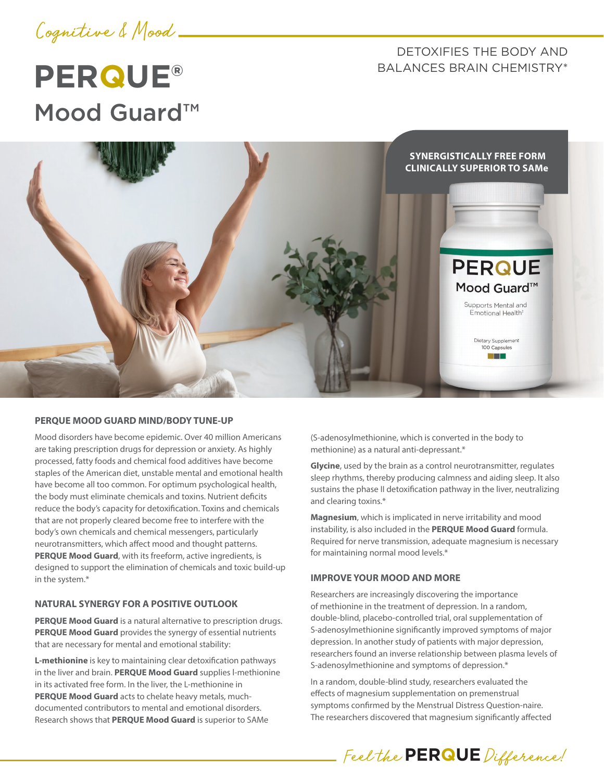

### DETOXIFIES THE BODY AND BALANCES BRAIN CHEMISTRY\*

# **PERQUE®** Mood Guard™



#### **PERQUE MOOD GUARD MIND/BODY TUNE-UP**

Mood disorders have become epidemic. Over 40 million Americans are taking prescription drugs for depression or anxiety. As highly processed, fatty foods and chemical food additives have become staples of the American diet, unstable mental and emotional health have become all too common. For optimum psychological health, the body must eliminate chemicals and toxins. Nutrient deficits reduce the body's capacity for detoxification. Toxins and chemicals that are not properly cleared become free to interfere with the body's own chemicals and chemical messengers, particularly neurotransmitters, which affect mood and thought patterns. **PERQUE Mood Guard**, with its freeform, active ingredients, is designed to support the elimination of chemicals and toxic build-up in the system.\*

#### **NATURAL SYNERGY FOR A POSITIVE OUTLOOK**

**PERQUE Mood Guard** is a natural alternative to prescription drugs. **PERQUE Mood Guard** provides the synergy of essential nutrients that are necessary for mental and emotional stability:

**L-methionine** is key to maintaining clear detoxification pathways in the liver and brain. **PERQUE Mood Guard** supplies l-methionine in its activated free form. In the liver, the L-methionine in **PERQUE Mood Guard** acts to chelate heavy metals, muchdocumented contributors to mental and emotional disorders. Research shows that **PERQUE Mood Guard** is superior to SAMe

(S-adenosylmethionine, which is converted in the body to methionine) as a natural anti-depressant.\*

**Glycine**, used by the brain as a control neurotransmitter, regulates sleep rhythms, thereby producing calmness and aiding sleep. It also sustains the phase II detoxification pathway in the liver, neutralizing and clearing toxins.\*

**Magnesium**, which is implicated in nerve irritability and mood instability, is also included in the **PERQUE Mood Guard** formula. Required for nerve transmission, adequate magnesium is necessary for maintaining normal mood levels.\*

#### **IMPROVE YOUR MOOD AND MORE**

Researchers are increasingly discovering the importance of methionine in the treatment of depression. In a random, double-blind, placebo-controlled trial, oral supplementation of S-adenosylmethionine significantly improved symptoms of major depression. In another study of patients with major depression, researchers found an inverse relationship between plasma levels of S-adenosylmethionine and symptoms of depression.\*

In a random, double-blind study, researchers evaluated the effects of magnesium supplementation on premenstrual symptoms confirmed by the Menstrual Distress Question-naire. The researchers discovered that magnesium significantly affected